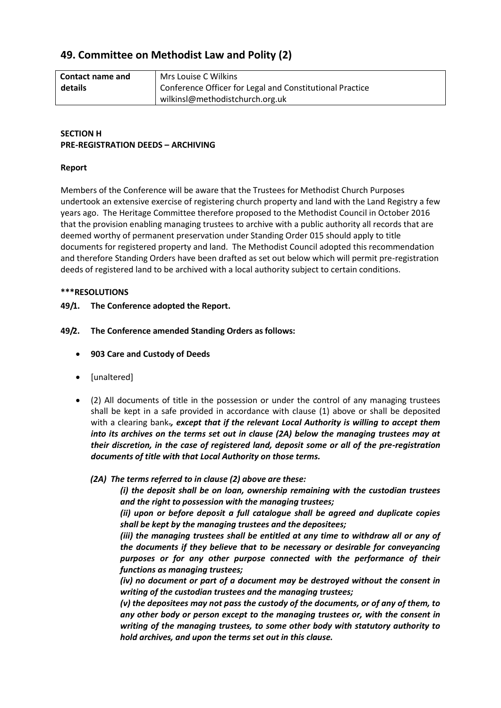# **49. Committee on Methodist Law and Polity (2)**

| <b>Contact name and</b> | Mrs Louise C Wilkins                                     |
|-------------------------|----------------------------------------------------------|
| details                 | Conference Officer for Legal and Constitutional Practice |
|                         | wilkinsl@methodistchurch.org.uk                          |

# **SECTION H PRE-REGISTRATION DEEDS – ARCHIVING**

#### **Report**

Members of the Conference will be aware that the Trustees for Methodist Church Purposes undertook an extensive exercise of registering church property and land with the Land Registry a few years ago. The Heritage Committee therefore proposed to the Methodist Council in October 2016 that the provision enabling managing trustees to archive with a public authority all records that are deemed worthy of permanent preservation under Standing Order 015 should apply to title documents for registered property and land. The Methodist Council adopted this recommendation and therefore Standing Orders have been drafted as set out below which will permit pre-registration deeds of registered land to be archived with a local authority subject to certain conditions.

#### **\*\*\*RESOLUTIONS**

- **49/1. The Conference adopted the Report.**
- **49/2. The Conference amended Standing Orders as follows:**
	- **903 Care and Custody of Deeds**
	- [unaltered]
	- (2) All documents of title in the possession or under the control of any managing trustees shall be kept in a safe provided in accordance with clause (1) above or shall be deposited with a clearing bank.*, except that if the relevant Local Authority is willing to accept them into its archives on the terms set out in clause (2A) below the managing trustees may at their discretion, in the case of registered land, deposit some or all of the pre-registration documents of title with that Local Authority on those terms.*
		- *(2A) The terms referred to in clause (2) above are these:*

*(i) the deposit shall be on loan, ownership remaining with the custodian trustees and the right to possession with the managing trustees;*

*(ii) upon or before deposit a full catalogue shall be agreed and duplicate copies shall be kept by the managing trustees and the depositees;* 

*(iii) the managing trustees shall be entitled at any time to withdraw all or any of the documents if they believe that to be necessary or desirable for conveyancing purposes or for any other purpose connected with the performance of their functions as managing trustees;* 

*(iv) no document or part of a document may be destroyed without the consent in writing of the custodian trustees and the managing trustees;*

*(v) the depositees may not pass the custody of the documents, or of any of them, to any other body or person except to the managing trustees or, with the consent in writing of the managing trustees, to some other body with statutory authority to hold archives, and upon the terms set out in this clause.*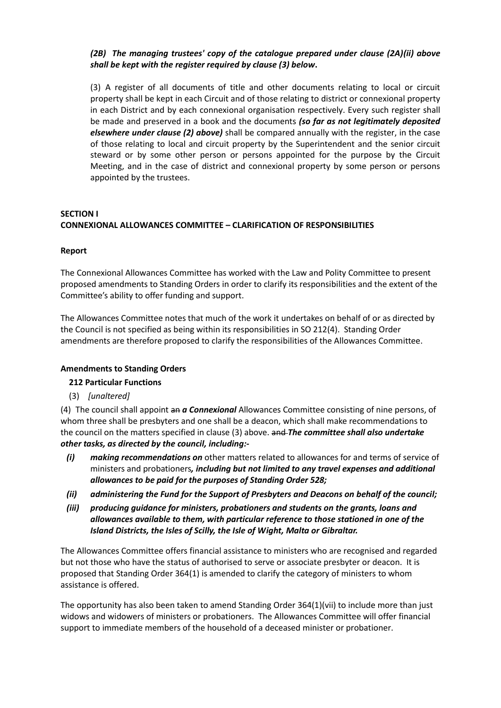# *(2B) The managing trustees' copy of the catalogue prepared under clause (2A)(ii) above shall be kept with the register required by clause (3) below***.**

(3) A register of all documents of title and other documents relating to local or circuit property shall be kept in each Circuit and of those relating to district or connexional property in each District and by each connexional organisation respectively. Every such register shall be made and preserved in a book and the documents *(so far as not legitimately deposited elsewhere under clause (2) above)* shall be compared annually with the register, in the case of those relating to local and circuit property by the Superintendent and the senior circuit steward or by some other person or persons appointed for the purpose by the Circuit Meeting, and in the case of district and connexional property by some person or persons appointed by the trustees.

# **SECTION I CONNEXIONAL ALLOWANCES COMMITTEE – CLARIFICATION OF RESPONSIBILITIES**

## **Report**

The Connexional Allowances Committee has worked with the Law and Polity Committee to present proposed amendments to Standing Orders in order to clarify its responsibilities and the extent of the Committee's ability to offer funding and support.

The Allowances Committee notes that much of the work it undertakes on behalf of or as directed by the Council is not specified as being within its responsibilities in SO 212(4). Standing Order amendments are therefore proposed to clarify the responsibilities of the Allowances Committee.

# **Amendments to Standing Orders**

# **212 Particular Functions**

(3) *[unaltered]*

(4) The council shall appoint an *a Connexional* Allowances Committee consisting of nine persons, of whom three shall be presbyters and one shall be a deacon, which shall make recommendations to the council on the matters specified in clause (3) above. and *The committee shall also undertake other tasks, as directed by the council, including:-*

- *(i) making recommendations on* other matters related to allowances for and terms of service of ministers and probationers*, including but not limited to any travel expenses and additional allowances to be paid for the purposes of Standing Order 528;*
- *(ii) administering the Fund for the Support of Presbyters and Deacons on behalf of the council;*
- *(iii) producing guidance for ministers, probationers and students on the grants, loans and allowances available to them, with particular reference to those stationed in one of the Island Districts, the Isles of Scilly, the Isle of Wight, Malta or Gibraltar.*

The Allowances Committee offers financial assistance to ministers who are recognised and regarded but not those who have the status of authorised to serve or associate presbyter or deacon. It is proposed that Standing Order 364(1) is amended to clarify the category of ministers to whom assistance is offered.

The opportunity has also been taken to amend Standing Order 364(1)(vii) to include more than just widows and widowers of ministers or probationers. The Allowances Committee will offer financial support to immediate members of the household of a deceased minister or probationer.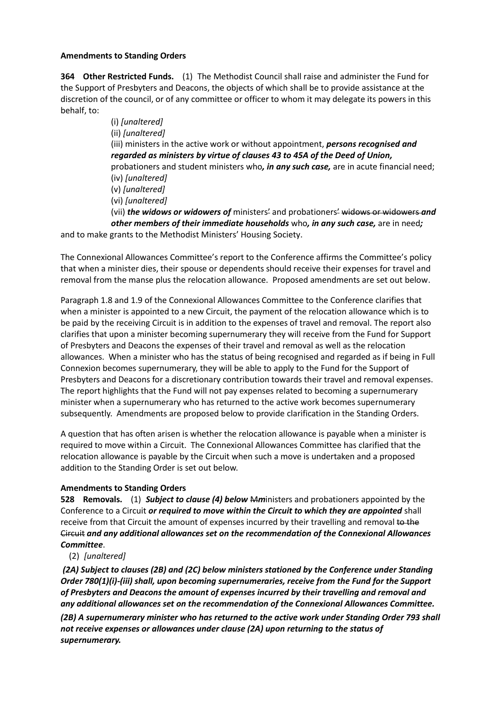### **Amendments to Standing Orders**

**364 Other Restricted Funds.** (1) The Methodist Council shall raise and administer the Fund for the Support of Presbyters and Deacons, the objects of which shall be to provide assistance at the discretion of the council, or of any committee or officer to whom it may delegate its powers in this behalf, to:

(i) *[unaltered]* (ii) *[unaltered]* (iii) ministers in the active work or without appointment, *persons recognised and regarded as ministers by virtue of clauses 43 to 45A of the Deed of Union,* probationers and student ministers who*, in any such case,* are in acute financial need; (iv) *[unaltered]* (v) *[unaltered]* (vi) *[unaltered]* (vii) *the widows or widowers of* ministers' and probationers' widows or widowers *and other members of their immediate households* who*, in any such case,* are in need*;* and to make grants to the Methodist Ministers' Housing Society.

The Connexional Allowances Committee's report to the Conference affirms the Committee's policy that when a minister dies, their spouse or dependents should receive their expenses for travel and

removal from the manse plus the relocation allowance. Proposed amendments are set out below.

Paragraph 1.8 and 1.9 of the Connexional Allowances Committee to the Conference clarifies that when a minister is appointed to a new Circuit, the payment of the relocation allowance which is to be paid by the receiving Circuit is in addition to the expenses of travel and removal. The report also clarifies that upon a minister becoming supernumerary they will receive from the Fund for Support of Presbyters and Deacons the expenses of their travel and removal as well as the relocation allowances. When a minister who has the status of being recognised and regarded as if being in Full Connexion becomes supernumerary, they will be able to apply to the Fund for the Support of Presbyters and Deacons for a discretionary contribution towards their travel and removal expenses. The report highlights that the Fund will not pay expenses related to becoming a supernumerary minister when a supernumerary who has returned to the active work becomes supernumerary subsequently. Amendments are proposed below to provide clarification in the Standing Orders.

A question that has often arisen is whether the relocation allowance is payable when a minister is required to move within a Circuit. The Connexional Allowances Committee has clarified that the relocation allowance is payable by the Circuit when such a move is undertaken and a proposed addition to the Standing Order is set out below.

# **Amendments to Standing Orders**

**528 Removals.** (1) *Subject to clause (4) below* M*m*inisters and probationers appointed by the Conference to a Circuit *or required to move within the Circuit to which they are appointed* shall receive from that Circuit the amount of expenses incurred by their travelling and removal to the Circuit *and any additional allowances set on the recommendation of the Connexional Allowances Committee*.

(2) *[unaltered]*

*(2A) Subject to clauses (2B) and (2C) below ministers stationed by the Conference under Standing Order 780(1)(i)-(iii) shall, upon becoming supernumeraries, receive from the Fund for the Support of Presbyters and Deacons the amount of expenses incurred by their travelling and removal and any additional allowances set on the recommendation of the Connexional Allowances Committee.*

*(2B) A supernumerary minister who has returned to the active work under Standing Order 793 shall not receive expenses or allowances under clause (2A) upon returning to the status of supernumerary.*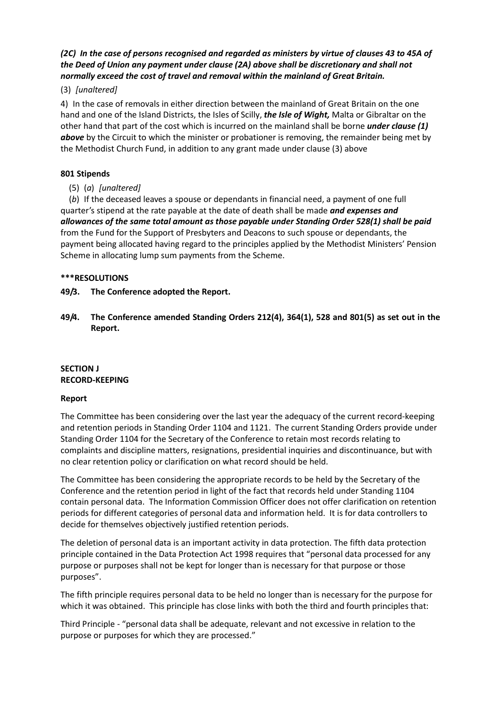# *(2C) In the case of persons recognised and regarded as ministers by virtue of clauses 43 to 45A of the Deed of Union any payment under clause (2A) above shall be discretionary and shall not normally exceed the cost of travel and removal within the mainland of Great Britain.*

## (3) *[unaltered]*

4) In the case of removals in either direction between the mainland of Great Britain on the one hand and one of the Island Districts, the Isles of Scilly, *the Isle of Wight,* Malta or Gibraltar on the other hand that part of the cost which is incurred on the mainland shall be borne *under clause (1)*  **above** by the Circuit to which the minister or probationer is removing, the remainder being met by the Methodist Church Fund, in addition to any grant made under clause (3) above

### **801 Stipends**

(5) (*a*) *[unaltered]*

(*b*) If the deceased leaves a spouse or dependants in financial need, a payment of one full quarter's stipend at the rate payable at the date of death shall be made *and expenses and allowances of the same total amount as those payable under Standing Order 528(1) shall be paid*  from the Fund for the Support of Presbyters and Deacons to such spouse or dependants, the payment being allocated having regard to the principles applied by the Methodist Ministers' Pension Scheme in allocating lump sum payments from the Scheme.

## **\*\*\*RESOLUTIONS**

## **49/3. The Conference adopted the Report.**

**49/4. The Conference amended Standing Orders 212(4), 364(1), 528 and 801(5) as set out in the Report.** 

## **SECTION J RECORD-KEEPING**

### **Report**

The Committee has been considering over the last year the adequacy of the current record-keeping and retention periods in Standing Order 1104 and 1121. The current Standing Orders provide under Standing Order 1104 for the Secretary of the Conference to retain most records relating to complaints and discipline matters, resignations, presidential inquiries and discontinuance, but with no clear retention policy or clarification on what record should be held.

The Committee has been considering the appropriate records to be held by the Secretary of the Conference and the retention period in light of the fact that records held under Standing 1104 contain personal data. The Information Commission Officer does not offer clarification on retention periods for different categories of personal data and information held. It is for data controllers to decide for themselves objectively justified retention periods.

The deletion of personal data is an important activity in data protection. The fifth data protection principle contained in the Data Protection Act 1998 requires that "personal data processed for any purpose or purposes shall not be kept for longer than is necessary for that purpose or those purposes".

The fifth principle requires personal data to be held no longer than is necessary for the purpose for which it was obtained. This principle has close links with both the third and fourth principles that:

Third Principle - "personal data shall be adequate, relevant and not excessive in relation to the purpose or purposes for which they are processed."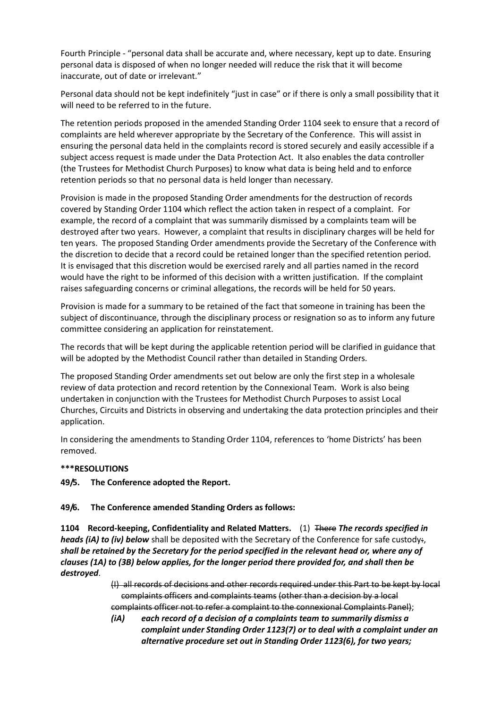Fourth Principle - "personal data shall be accurate and, where necessary, kept up to date. Ensuring personal data is disposed of when no longer needed will reduce the risk that it will become inaccurate, out of date or irrelevant."

Personal data should not be kept indefinitely "just in case" or if there is only a small possibility that it will need to be referred to in the future.

The retention periods proposed in the amended Standing Order 1104 seek to ensure that a record of complaints are held wherever appropriate by the Secretary of the Conference. This will assist in ensuring the personal data held in the complaints record is stored securely and easily accessible if a subject access request is made under the Data Protection Act. It also enables the data controller (the Trustees for Methodist Church Purposes) to know what data is being held and to enforce retention periods so that no personal data is held longer than necessary.

Provision is made in the proposed Standing Order amendments for the destruction of records covered by Standing Order 1104 which reflect the action taken in respect of a complaint. For example, the record of a complaint that was summarily dismissed by a complaints team will be destroyed after two years. However, a complaint that results in disciplinary charges will be held for ten years. The proposed Standing Order amendments provide the Secretary of the Conference with the discretion to decide that a record could be retained longer than the specified retention period. It is envisaged that this discretion would be exercised rarely and all parties named in the record would have the right to be informed of this decision with a written justification. If the complaint raises safeguarding concerns or criminal allegations, the records will be held for 50 years.

Provision is made for a summary to be retained of the fact that someone in training has been the subject of discontinuance, through the disciplinary process or resignation so as to inform any future committee considering an application for reinstatement.

The records that will be kept during the applicable retention period will be clarified in guidance that will be adopted by the Methodist Council rather than detailed in Standing Orders.

The proposed Standing Order amendments set out below are only the first step in a wholesale review of data protection and record retention by the Connexional Team. Work is also being undertaken in conjunction with the Trustees for Methodist Church Purposes to assist Local Churches, Circuits and Districts in observing and undertaking the data protection principles and their application.

In considering the amendments to Standing Order 1104, references to 'home Districts' has been removed.

### **\*\*\*RESOLUTIONS**

**49/5. The Conference adopted the Report.**

### **49/6. The Conference amended Standing Orders as follows:**

**1104 Record-keeping, Confidentiality and Related Matters.** (1) There *The records specified in heads (iA) to (iv) below* shall be deposited with the Secretary of the Conference for safe custody. *shall be retained by the Secretary for the period specified in the relevant head or, where any of clauses (1A) to (3B) below applies, for the longer period there provided for, and shall then be destroyed*.

> (I) all records of decisions and other records required under this Part to be kept by local complaints officers and complaints teams (other than a decision by a local complaints officer not to refer a complaint to the connexional Complaints Panel);

> *(iA) each record of a decision of a complaints team to summarily dismiss a complaint under Standing Order 1123(7) or to deal with a complaint under an alternative procedure set out in Standing Order 1123(6), for two years;*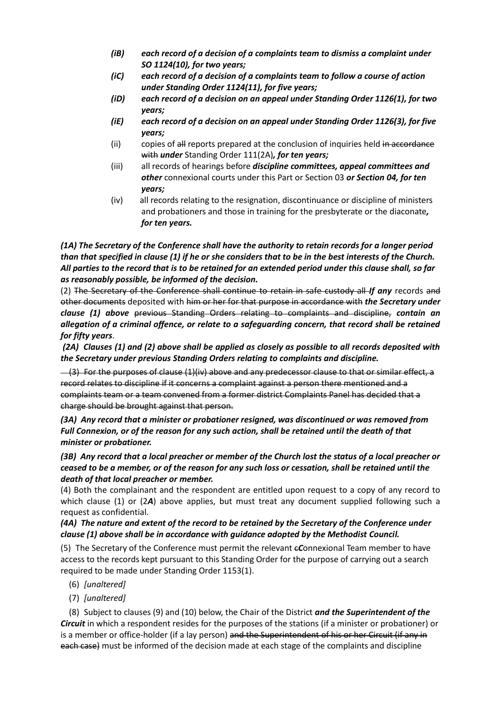- *(iB) each record of a decision of a complaints team to dismiss a complaint under SO 1124(10), for two years;*
- *(iC) each record of a decision of a complaints team to follow a course of action under Standing Order 1124(11), for five years;*
- *(iD) each record of a decision on an appeal under Standing Order 1126(1), for two years;*
- *(iE) each record of a decision on an appeal under Standing Order 1126(3), for five years;*
- $(i)$  copies of  $\frac{1}{2}$  reports prepared at the conclusion of inquiries held in accordance with *under* Standing Order 111(2A)*, for ten years;*
- (iii) all records of hearings before *discipline committees, appeal committees and other* connexional courts under this Part or Section 03 *or Section 04, for ten years;*
- (iv) all records relating to the resignation, discontinuance or discipline of ministers and probationers and those in training for the presbyterate or the diaconate*, for ten years.*

*(1A) The Secretary of the Conference shall have the authority to retain records for a longer period than that specified in clause (1) if he or she considers that to be in the best interests of the Church. All parties to the record that is to be retained for an extended period under this clause shall, so far as reasonably possible, be informed of the decision.* 

(2) The Secretary of the Conference shall continue to retain in safe custody all *If any* records and other documents deposited with him or her for that purpose in accordance with *the Secretary under clause (1) above* previous Standing Orders relating to complaints and discipline, *contain an allegation of a criminal offence, or relate to a safeguarding concern, that record shall be retained for fifty years*.

*(2A) Clauses (1) and (2) above shall be applied as closely as possible to all records deposited with the Secretary under previous Standing Orders relating to complaints and discipline.*

 $-(3)$  For the purposes of clause  $(1)(iv)$  above and any predecessor clause to that or similar effect, a record relates to discipline if it concerns a complaint against a person there mentioned and a complaints team or a team convened from a former district Complaints Panel has decided that a charge should be brought against that person.

*(3A) Any record that a minister or probationer resigned, was discontinued or was removed from Full Connexion, or of the reason for any such action, shall be retained until the death of that minister or probationer.*

*(3B) Any record that a local preacher or member of the Church lost the status of a local preacher or ceased to be a member, or of the reason for any such loss or cessation, shall be retained until the death of that local preacher or member.* 

(4) Both the complainant and the respondent are entitled upon request to a copy of any record to which clause (1) or (2*A*) above applies, but must treat any document supplied following such a request as confidential.

# *(4A) The nature and extent of the record to be retained by the Secretary of the Conference under clause (1) above shall be in accordance with guidance adopted by the Methodist Council.*

(5) The Secretary of the Conference must permit the relevant c*C*onnexional Team member to have access to the records kept pursuant to this Standing Order for the purpose of carrying out a search required to be made under Standing Order 1153(1).

- (6) *[unaltered]*
- (7) *[unaltered]*

(8) Subject to clauses (9) and (10) below, the Chair of the District *and the Superintendent of the Circuit* in which a respondent resides for the purposes of the stations (if a minister or probationer) or is a member or office-holder (if a lay person) and the Superintendent of his or her Circuit (if any in each case) must be informed of the decision made at each stage of the complaints and discipline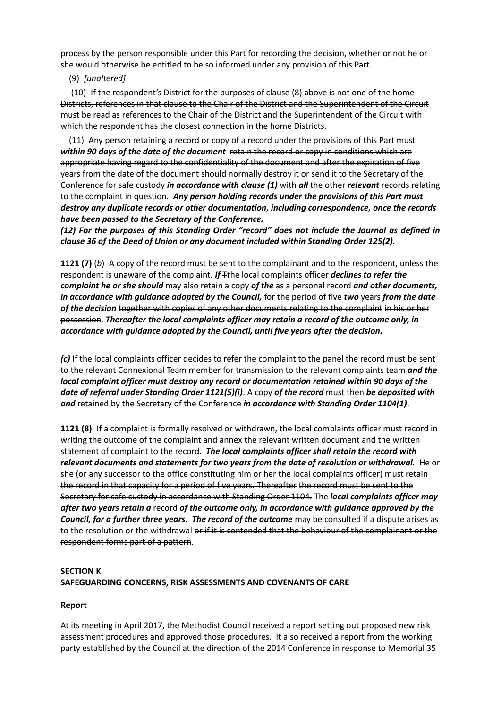process by the person responsible under this Part for recording the decision, whether or not he or she would otherwise be entitled to be so informed under any provision of this Part.

(9) *[unaltered]*

(10) If the respondent's District for the purposes of clause (8) above is not one of the home Districts, references in that clause to the Chair of the District and the Superintendent of the Circuit must be read as references to the Chair of the District and the Superintendent of the Circuit with which the respondent has the closest connection in the home Districts.

(11) Any person retaining a record or copy of a record under the provisions of this Part must *within 90 days of the date of the document* retain the record or copy in conditions which are appropriate having regard to the confidentiality of the document and after the expiration of five years from the date of the document should normally destroy it or send it to the Secretary of the Conference for safe custody *in accordance with clause (1)* with *all* the other *relevant* records relating to the complaint in question. *Any person holding records under the provisions of this Part must destroy any duplicate records or other documentation, including correspondence, once the records have been passed to the Secretary of the Conference.* 

*(12) For the purposes of this Standing Order "record" does not include the Journal as defined in clause 36 of the Deed of Union or any document included within Standing Order 125(2).*

**1121 (7)** (*b*) A copy of the record must be sent to the complainant and to the respondent, unless the respondent is unaware of the complaint. *If* Tthe local complaints officer *declines to refer the complaint he or she should* may also retain a copy *of the* as a personal record *and other documents, in accordance with guidance adopted by the Council,* for the period of five *two* years *from the date of the decision* together with copies of any other documents relating to the complaint in his or her possession. *Thereafter the local complaints officer may retain a record of the outcome only, in accordance with guidance adopted by the Council, until five years after the decision.* 

*(c)* If the local complaints officer decides to refer the complaint to the panel the record must be sent to the relevant Connexional Team member for transmission to the relevant complaints team *and the local complaint officer must destroy any record or documentation retained within 90 days of the date of referral under Standing Order 1121(5)(i)*. A copy *of the record* must then *be deposited with and* retained by the Secretary of the Conference *in accordance with Standing Order 1104(1)*.

**1121 (8)** If a complaint is formally resolved or withdrawn, the local complaints officer must record in writing the outcome of the complaint and annex the relevant written document and the written statement of complaint to the record. *The local complaints officer shall retain the record with relevant documents and statements for two years from the date of resolution or withdrawal.* He or she (or any successor to the office constituting him or her the local complaints officer) must retain the record in that capacity for a period of five years. Thereafter the record must be sent to the Secretary for safe custody in accordance with Standing Order 1104. The *local complaints officer may after two years retain a* record *of the outcome only, in accordance with guidance approved by the Council, for a further three years. The record of the outcome* may be consulted if a dispute arises as to the resolution or the withdrawal or if it is contended that the behaviour of the complainant or the respondent forms part of a pattern.

# **SECTION K SAFEGUARDING CONCERNS, RISK ASSESSMENTS AND COVENANTS OF CARE**

# **Report**

At its meeting in April 2017, the Methodist Council received a report setting out proposed new risk assessment procedures and approved those procedures. It also received a report from the working party established by the Council at the direction of the 2014 Conference in response to Memorial 35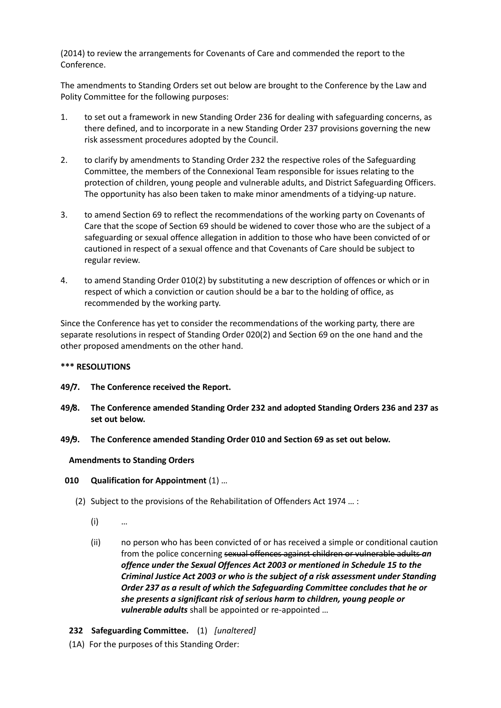(2014) to review the arrangements for Covenants of Care and commended the report to the Conference.

The amendments to Standing Orders set out below are brought to the Conference by the Law and Polity Committee for the following purposes:

- 1. to set out a framework in new Standing Order 236 for dealing with safeguarding concerns, as there defined, and to incorporate in a new Standing Order 237 provisions governing the new risk assessment procedures adopted by the Council.
- 2. to clarify by amendments to Standing Order 232 the respective roles of the Safeguarding Committee, the members of the Connexional Team responsible for issues relating to the protection of children, young people and vulnerable adults, and District Safeguarding Officers. The opportunity has also been taken to make minor amendments of a tidying-up nature.
- 3. to amend Section 69 to reflect the recommendations of the working party on Covenants of Care that the scope of Section 69 should be widened to cover those who are the subject of a safeguarding or sexual offence allegation in addition to those who have been convicted of or cautioned in respect of a sexual offence and that Covenants of Care should be subject to regular review.
- 4. to amend Standing Order 010(2) by substituting a new description of offences or which or in respect of which a conviction or caution should be a bar to the holding of office, as recommended by the working party.

Since the Conference has yet to consider the recommendations of the working party, there are separate resolutions in respect of Standing Order 020(2) and Section 69 on the one hand and the other proposed amendments on the other hand.

### **\*\*\* RESOLUTIONS**

- **49/7. The Conference received the Report.**
- **49/8. The Conference amended Standing Order 232 and adopted Standing Orders 236 and 237 as set out below.**
- **49/9. The Conference amended Standing Order 010 and Section 69 as set out below.**

### **Amendments to Standing Orders**

- **010 Qualification for Appointment** (1) …
	- (2) Subject to the provisions of the Rehabilitation of Offenders Act 1974 … :
		- (i) …
		- (ii) no person who has been convicted of or has received a simple or conditional caution from the police concerning sexual offences against children or vulnerable adults *an offence under the Sexual Offences Act 2003 or mentioned in Schedule 15 to the Criminal Justice Act 2003 or who is the subject of a risk assessment under Standing Order 237 as a result of which the Safeguarding Committee concludes that he or she presents a significant risk of serious harm to children, young people or vulnerable adults* shall be appointed or re-appointed …
- **232 Safeguarding Committee.** (1) *[unaltered]*
- (1A) For the purposes of this Standing Order: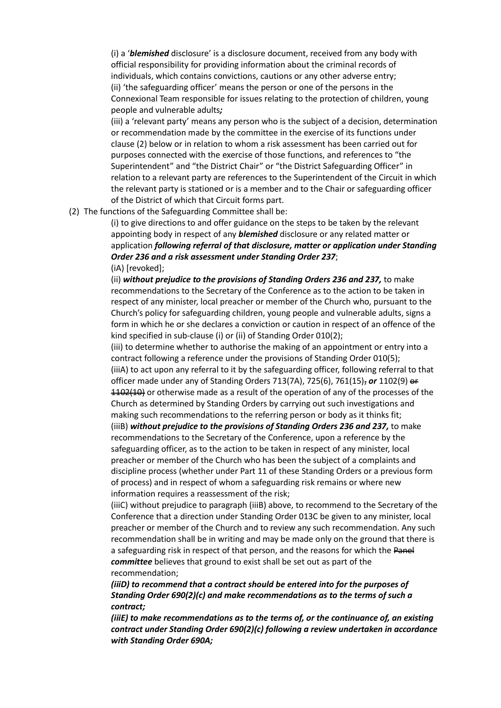(i) a '*blemished* disclosure' is a disclosure document, received from any body with official responsibility for providing information about the criminal records of individuals, which contains convictions, cautions or any other adverse entry; (ii) 'the safeguarding officer' means the person or one of the persons in the Connexional Team responsible for issues relating to the protection of children, young people and vulnerable adults*;*

(iii) a 'relevant party' means any person who is the subject of a decision, determination or recommendation made by the committee in the exercise of its functions under clause (2) below or in relation to whom a risk assessment has been carried out for purposes connected with the exercise of those functions, and references to "the Superintendent" and "the District Chair" or "the District Safeguarding Officer" in relation to a relevant party are references to the Superintendent of the Circuit in which the relevant party is stationed or is a member and to the Chair or safeguarding officer of the District of which that Circuit forms part.

(2) The functions of the Safeguarding Committee shall be:

(i) to give directions to and offer guidance on the steps to be taken by the relevant appointing body in respect of any *blemished* disclosure or any related matter or application *following referral of that disclosure, matter or application under Standing Order 236 and a risk assessment under Standing Order 237*; (iA) [revoked];

(ii) *without prejudice to the provisions of Standing Orders 236 and 237,* to make recommendations to the Secretary of the Conference as to the action to be taken in respect of any minister, local preacher or member of the Church who, pursuant to the Church's policy for safeguarding children, young people and vulnerable adults, signs a form in which he or she declares a conviction or caution in respect of an offence of the kind specified in sub-clause (i) or (ii) of Standing Order 010(2);

(iii) to determine whether to authorise the making of an appointment or entry into a contract following a reference under the provisions of Standing Order 010(5); (iiiA) to act upon any referral to it by the safeguarding officer, following referral to that officer made under any of Standing Orders 713(7A), 725(6), 761(15), *or* 1102(9) or 1102(10) or otherwise made as a result of the operation of any of the processes of the Church as determined by Standing Orders by carrying out such investigations and making such recommendations to the referring person or body as it thinks fit; (iiiB) *without prejudice to the provisions of Standing Orders 236 and 237,* to make recommendations to the Secretary of the Conference, upon a reference by the safeguarding officer, as to the action to be taken in respect of any minister, local preacher or member of the Church who has been the subject of a complaints and

discipline process (whether under Part 11 of these Standing Orders or a previous form of process) and in respect of whom a safeguarding risk remains or where new information requires a reassessment of the risk;

(iiiC) without prejudice to paragraph (iiiB) above, to recommend to the Secretary of the Conference that a direction under Standing Order 013C be given to any minister, local preacher or member of the Church and to review any such recommendation. Any such recommendation shall be in writing and may be made only on the ground that there is a safeguarding risk in respect of that person, and the reasons for which the Panel *committee* believes that ground to exist shall be set out as part of the recommendation;

## *(iiiD) to recommend that a contract should be entered into for the purposes of Standing Order 690(2)(c) and make recommendations as to the terms of such a contract;*

*(iiiE) to make recommendations as to the terms of, or the continuance of, an existing contract under Standing Order 690(2)(c) following a review undertaken in accordance with Standing Order 690A;*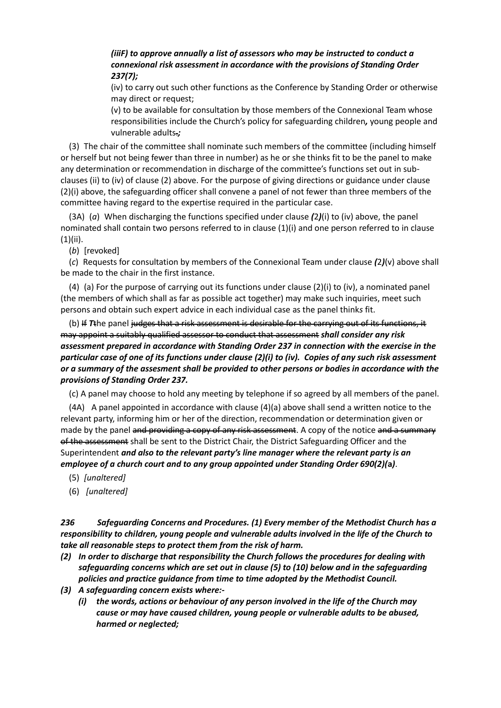# *(iiiF) to approve annually a list of assessors who may be instructed to conduct a connexional risk assessment in accordance with the provisions of Standing Order 237(7);*

(iv) to carry out such other functions as the Conference by Standing Order or otherwise may direct or request;

(v) to be available for consultation by those members of the Connexional Team whose responsibilities include the Church's policy for safeguarding children*,* young people and vulnerable adults.*;*

(3) The chair of the committee shall nominate such members of the committee (including himself or herself but not being fewer than three in number) as he or she thinks fit to be the panel to make any determination or recommendation in discharge of the committee's functions set out in subclauses (ii) to (iv) of clause (2) above. For the purpose of giving directions or guidance under clause (2)(i) above, the safeguarding officer shall convene a panel of not fewer than three members of the committee having regard to the expertise required in the particular case.

(3A) (*a*) When discharging the functions specified under clause *(*2*)*(i) to (iv) above, the panel nominated shall contain two persons referred to in clause (1)(i) and one person referred to in clause (1)(ii).

(*b*) [revoked]

(*c*) Requests for consultation by members of the Connexional Team under clause *(*2*)*(v) above shall be made to the chair in the first instance.

(4) (a) For the purpose of carrying out its functions under clause (2)(i) to (iv), a nominated panel (the members of which shall as far as possible act together) may make such inquiries, meet such persons and obtain such expert advice in each individual case as the panel think*s* fit.

(b) If *T*the panel judges that a risk assessment is desirable for the carrying out of its functions, it may appoint a suitably qualified assessor to conduct that assessment *shall consider any risk assessment prepared in accordance with Standing Order 237 in connection with the exercise in the particular case of one of its functions under clause (2)(i) to (iv). Copies of any such risk assessment or a summary of the assesment shall be provided to other persons or bodies in accordance with the provisions of Standing Order 237.*

(c) A panel may choose to hold any meeting by telephone if so agreed by all members of the panel.

(4A) A panel appointed in accordance with clause (4)(a) above shall send a written notice to the relevant party, informing him or her of the direction, recommendation or determination given or made by the panel and providing a copy of any risk assessment. A copy of the notice and a summary of the assessment shall be sent to the District Chair, the District Safeguarding Officer and the Superintendent *and also to the relevant party's line manager where the relevant party is an employee of a church court and to any group appointed under Standing Order 690(2)(***a***)*.

- (5) *[unaltered]*
- (6) *[unaltered]*

*236 Safeguarding Concerns and Procedures. (1) Every member of the Methodist Church has a responsibility to children, young people and vulnerable adults involved in the life of the Church to take all reasonable steps to protect them from the risk of harm.*

- *(2) In order to discharge that responsibility the Church follows the procedures for dealing with safeguarding concerns which are set out in clause (5) to (10) below and in the safeguarding policies and practice guidance from time to time adopted by the Methodist Council.*
- *(3) A safeguarding concern exists where:-*
	- *(i) the words, actions or behaviour of any person involved in the life of the Church may cause or may have caused children, young people or vulnerable adults to be abused, harmed or neglected;*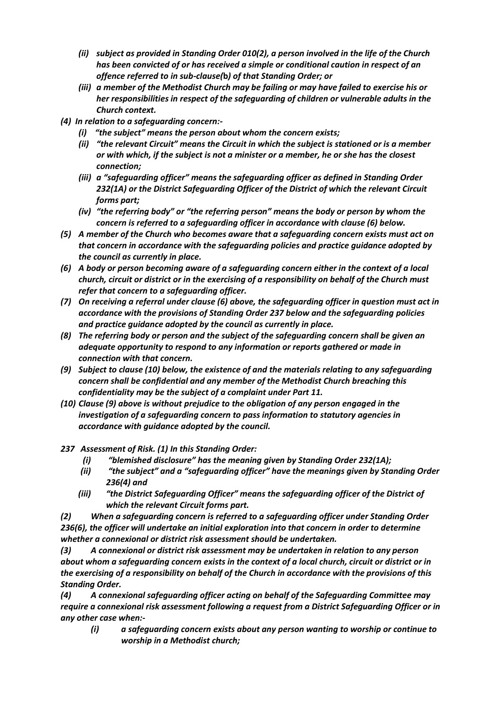- *(ii) subject as provided in Standing Order 010(2), a person involved in the life of the Church has been convicted of or has received a simple or conditional caution in respect of an offence referred to in sub-clause(***b***) of that Standing Order; or*
- *(iii) a member of the Methodist Church may be failing or may have failed to exercise his or her responsibilities in respect of the safeguarding of children or vulnerable adults in the Church context.*
- *(4) In relation to a safeguarding concern:-*
	- *(i) "the subject" means the person about whom the concern exists;*
	- *(ii) "the relevant Circuit" means the Circuit in which the subject is stationed or is a member or with which, if the subject is not a minister or a member, he or she has the closest connection;*
	- *(iii) a "safeguarding officer" means the safeguarding officer as defined in Standing Order 232(1A) or the District Safeguarding Officer of the District of which the relevant Circuit forms part;*
	- *(iv) "the referring body" or "the referring person" means the body or person by whom the concern is referred to a safeguarding officer in accordance with clause (6) below.*
- *(5) A member of the Church who becomes aware that a safeguarding concern exists must act on that concern in accordance with the safeguarding policies and practice guidance adopted by the council as currently in place.*
- *(6) A body or person becoming aware of a safeguarding concern either in the context of a local church, circuit or district or in the exercising of a responsibility on behalf of the Church must refer that concern to a safeguarding officer.*
- *(7) On receiving a referral under clause (6) above, the safeguarding officer in question must act in accordance with the provisions of Standing Order 237 below and the safeguarding policies and practice guidance adopted by the council as currently in place.*
- *(8) The referring body or person and the subject of the safeguarding concern shall be given an adequate opportunity to respond to any information or reports gathered or made in connection with that concern.*
- *(9) Subject to clause (10) below, the existence of and the materials relating to any safeguarding concern shall be confidential and any member of the Methodist Church breaching this confidentiality may be the subject of a complaint under Part 11.*
- *(10) Clause (9) above is without prejudice to the obligation of any person engaged in the investigation of a safeguarding concern to pass information to statutory agencies in accordance with guidance adopted by the council.*
- *237 Assessment of Risk. (1) In this Standing Order:*
	- *(i) "blemished disclosure" has the meaning given by Standing Order 232(1A);*
	- *(ii) "the subject" and a "safeguarding officer" have the meanings given by Standing Order 236(4) and*
	- *(iii) "the District Safeguarding Officer" means the safeguarding officer of the District of which the relevant Circuit forms part.*

*(2) When a safeguarding concern is referred to a safeguarding officer under Standing Order 236(6), the officer will undertake an initial exploration into that concern in order to determine whether a connexional or district risk assessment should be undertaken.*

*(3) A connexional or district risk assessment may be undertaken in relation to any person about whom a safeguarding concern exists in the context of a local church, circuit or district or in the exercising of a responsibility on behalf of the Church in accordance with the provisions of this Standing Order.*

*(4) A connexional safeguarding officer acting on behalf of the Safeguarding Committee may require a connexional risk assessment following a request from a District Safeguarding Officer or in any other case when:-*

*(i) a safeguarding concern exists about any person wanting to worship or continue to worship in a Methodist church;*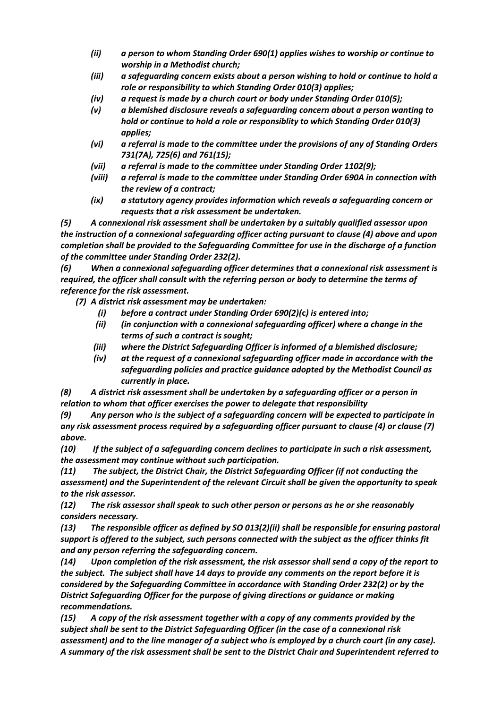- *(ii) a person to whom Standing Order 690(1) applies wishes to worship or continue to worship in a Methodist church;*
- *(iii) a safeguarding concern exists about a person wishing to hold or continue to hold a role or responsibility to which Standing Order 010(3) applies;*
- *(iv) a request is made by a church court or body under Standing Order 010(5);*
- *(v) a blemished disclosure reveals a safeguarding concern about a person wanting to hold or continue to hold a role or responsiblity to which Standing Order 010(3) applies;*
- *(vi) a referral is made to the committee under the provisions of any of Standing Orders 731(7A), 725(6) and 761(15);*
- *(vii) a referral is made to the committee under Standing Order 1102(9);*
- *(viii) a referral is made to the committee under Standing Order 690A in connection with the review of a contract;*
- *(ix) a statutory agency provides information which reveals a safeguarding concern or requests that a risk assessment be undertaken.*

*(5) A connexional risk assessment shall be undertaken by a suitably qualified assessor upon the instruction of a connexional safeguarding officer acting pursuant to clause (4) above and upon completion shall be provided to the Safeguarding Committee for use in the discharge of a function of the committee under Standing Order 232(2).*

*(6) When a connexional safeguarding officer determines that a connexional risk assessment is required, the officer shall consult with the referring person or body to determine the terms of reference for the risk assessment.*

*(7) A district risk assessment may be undertaken:*

- *(i) before a contract under Standing Order 690(2)(***c***) is entered into;*
- *(ii) (in conjunction with a connexional safeguarding officer) where a change in the terms of such a contract is sought;*
- *(iii) where the District Safeguarding Officer is informed of a blemished disclosure;*
- *(iv) at the request of a connexional safeguarding officer made in accordance with the safeguarding policies and practice guidance adopted by the Methodist Council as currently in place.*

*(8) A district risk assessment shall be undertaken by a safeguarding officer or a person in relation to whom that officer exercises the power to delegate that responsibility*

*(9) Any person who is the subject of a safeguarding concern will be expected to participate in any risk assessment process required by a safeguarding officer pursuant to clause (4) or clause (7) above.* 

*(10) If the subject of a safeguarding concern declines to participate in such a risk assessment, the assessment may continue without such participation.* 

*(11) The subject, the District Chair, the District Safeguarding Officer (if not conducting the assessment) and the Superintendent of the relevant Circuit shall be given the opportunity to speak to the risk assessor.*

*(12) The risk assessor shall speak to such other person or persons as he or she reasonably considers necessary.* 

*(13) The responsible officer as defined by SO 013(2)(ii) shall be responsible for ensuring pastoral support is offered to the subject, such persons connected with the subject as the officer thinks fit and any person referring the safeguarding concern.* 

*(14) Upon completion of the risk assessment, the risk assessor shall send a copy of the report to the subject. The subject shall have 14 days to provide any comments on the report before it is considered by the Safeguarding Committee in accordance with Standing Order 232(2) or by the District Safeguarding Officer for the purpose of giving directions or guidance or making recommendations.* 

*(15) A copy of the risk assessment together with a copy of any comments provided by the subject shall be sent to the District Safeguarding Officer (in the case of a connexional risk assessment) and to the line manager of a subject who is employed by a church court (in any case). A summary of the risk assessment shall be sent to the District Chair and Superintendent referred to*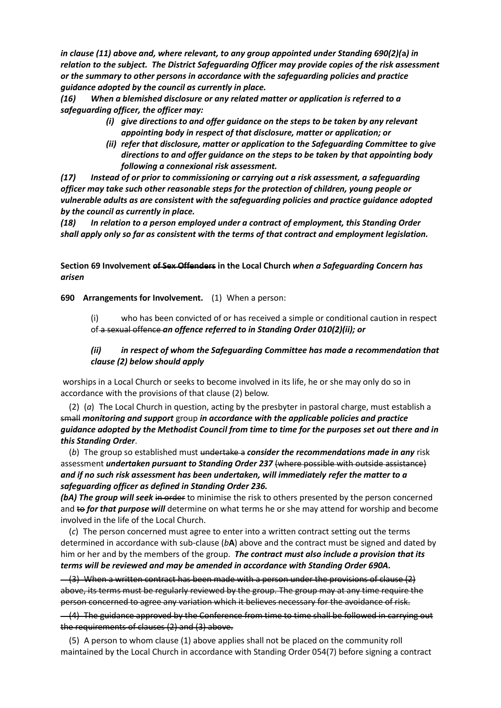*in clause (11) above and, where relevant, to any group appointed under Standing 690(2)(***a***) in relation to the subject. The District Safeguarding Officer may provide copies of the risk assessment or the summary to other persons in accordance with the safeguarding policies and practice guidance adopted by the council as currently in place.*

*(16) When a blemished disclosure or any related matter or application is referred to a safeguarding officer, the officer may:*

- *(i) give directions to and offer guidance on the steps to be taken by any relevant appointing body in respect of that disclosure, matter or application; or*
- *(ii) refer that disclosure, matter or application to the Safeguarding Committee to give directions to and offer guidance on the steps to be taken by that appointing body following a connexional risk assessment.*

*(17) Instead of or prior to commissioning or carrying out a risk assessment, a safeguarding officer may take such other reasonable steps for the protection of children, young people or vulnerable adults as are consistent with the safeguarding policies and practice guidance adopted by the council as currently in place.*

*(18) In relation to a person employed under a contract of employment, this Standing Order shall apply only so far as consistent with the terms of that contract and employment legislation.*

## **Section 69 Involvement of Sex Offenders in the Local Church** *when a Safeguarding Concern has arisen*

**690 Arrangements for Involvement.** (1) When a person:

(i) who has been convicted of or has received a simple or conditional caution in respect of a sexual offence *an offence referred to in Standing Order 010(2)(ii); or*

## *(ii) in respect of whom the Safeguarding Committee has made a recommendation that clause (2) below should apply*

worships in a Local Church or seeks to become involved in its life, he or she may only do so in accordance with the provisions of that clause (2) below.

(2) (*a*) The Local Church in question, acting by the presbyter in pastoral charge, must establish a small *monitoring and support* group *in accordance with the applicable policies and practice guidance adopted by the Methodist Council from time to time for the purposes set out there and in this Standing Order*.

(*b*) The group so established must undertake a *consider the recommendations made in any* risk assessment *undertaken pursuant to Standing Order 237* (where possible with outside assistance) *and if no such risk assessment has been undertaken, will immediately refer the matter to a safeguarding officer as defined in Standing Order 236.* 

**(bA)** The group will seek in order to minimise the risk to others presented by the person concerned and to *for that purpose will* determine on what terms he or she may attend for worship and become involved in the life of the Local Church.

(*c*) The person concerned must agree to enter into a written contract setting out the terms determined in accordance with sub-clause (*b***A**) above and the contract must be signed and dated by him or her and by the members of the group. *The contract must also include a provision that its terms will be reviewed and may be amended in accordance with Standing Order 690A.*

 $-$  (3) When a written contract has been made with a person under the provisions of clause  $\{2\}$ above, its terms must be regularly reviewed by the group. The group may at any time require the person concerned to agree any variation which it believes necessary for the avoidance of risk.

(4) The guidance approved by the Conference from time to time shall be followed in carrying out the requirements of clauses (2) and (3) above.

(5) A person to whom clause (1) above applies shall not be placed on the community roll maintained by the Local Church in accordance with Standing Order 054(7) before signing a contract